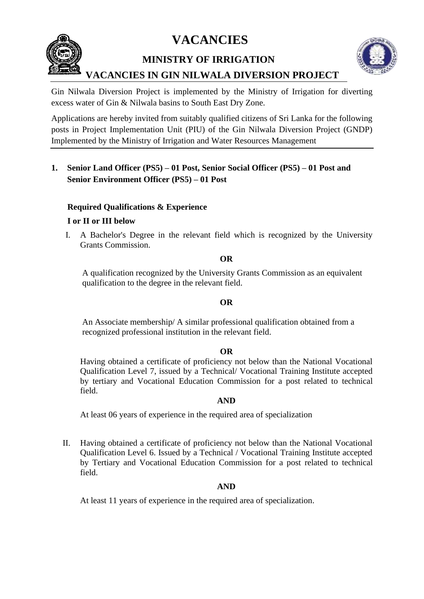**VACANCIES**



 **MINISTRY OF IRRIGATION** 



# **VACANCIES IN GIN NILWALA DIVERSION PROJECT**

Gin Nilwala Diversion Project is implemented by the Ministry of Irrigation for diverting excess water of Gin & Nilwala basins to South East Dry Zone.

Applications are hereby invited from suitably qualified citizens of Sri Lanka for the following posts in Project Implementation Unit (PIU) of the Gin Nilwala Diversion Project (GNDP) Implemented by the Ministry of Irrigation and Water Resources Management

# **1. Senior Land Officer (PS5) – 01 Post, Senior Social Officer (PS5) – 01 Post and Senior Environment Officer (PS5) – 01 Post**

# **Required Qualifications & Experience**

## **I or II or III below**

I. A Bachelor's Degree in the relevant field which is recognized by the University Grants Commission.

#### **OR**

A qualification recognized by the University Grants Commission as an equivalent qualification to the degree in the relevant field.

## **OR**

 An Associate membership/ A similar professional qualification obtained from a recognized professional institution in the relevant field.

## **OR**

Having obtained a certificate of proficiency not below than the National Vocational Qualification Level 7, issued by a Technical/ Vocational Training Institute accepted by tertiary and Vocational Education Commission for a post related to technical field.

## **AND**

At least 06 years of experience in the required area of specialization

II. Having obtained a certificate of proficiency not below than the National Vocational Qualification Level 6. Issued by a Technical / Vocational Training Institute accepted by Tertiary and Vocational Education Commission for a post related to technical field.

## **AND**

At least 11 years of experience in the required area of specialization.